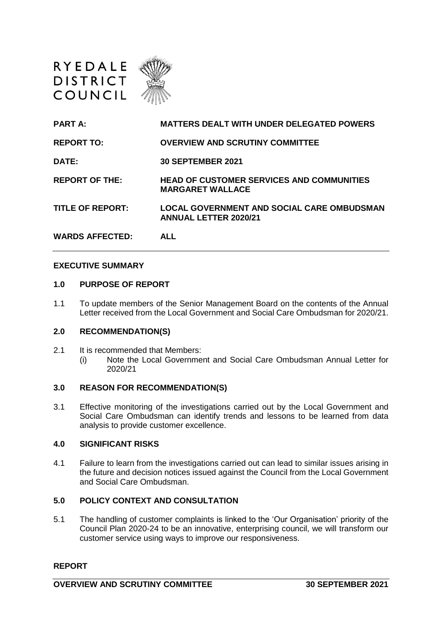

| <b>PART A:</b>          | <b>MATTERS DEALT WITH UNDER DELEGATED POWERS</b>                                  |
|-------------------------|-----------------------------------------------------------------------------------|
| <b>REPORT TO:</b>       | <b>OVERVIEW AND SCRUTINY COMMITTEE</b>                                            |
| DATE:                   | <b>30 SEPTEMBER 2021</b>                                                          |
| <b>REPORT OF THE:</b>   | <b>HEAD OF CUSTOMER SERVICES AND COMMUNITIES</b><br><b>MARGARET WALLACE</b>       |
| <b>TITLE OF REPORT:</b> | <b>LOCAL GOVERNMENT AND SOCIAL CARE OMBUDSMAN</b><br><b>ANNUAL LETTER 2020/21</b> |
| <b>WARDS AFFECTED:</b>  | ALL                                                                               |

#### **EXECUTIVE SUMMARY**

#### **1.0 PURPOSE OF REPORT**

1.1 To update members of the Senior Management Board on the contents of the Annual Letter received from the Local Government and Social Care Ombudsman for 2020/21.

### **2.0 RECOMMENDATION(S)**

- 2.1 It is recommended that Members:
	- (i) Note the Local Government and Social Care Ombudsman Annual Letter for 2020/21

#### **3.0 REASON FOR RECOMMENDATION(S)**

3.1 Effective monitoring of the investigations carried out by the Local Government and Social Care Ombudsman can identify trends and lessons to be learned from data analysis to provide customer excellence.

#### **4.0 SIGNIFICANT RISKS**

4.1 Failure to learn from the investigations carried out can lead to similar issues arising in the future and decision notices issued against the Council from the Local Government and Social Care Ombudsman.

# **5.0 POLICY CONTEXT AND CONSULTATION**

5.1 The handling of customer complaints is linked to the 'Our Organisation' priority of the Council Plan 2020-24 to be an innovative, enterprising council, we will transform our customer service using ways to improve our responsiveness.

### **REPORT**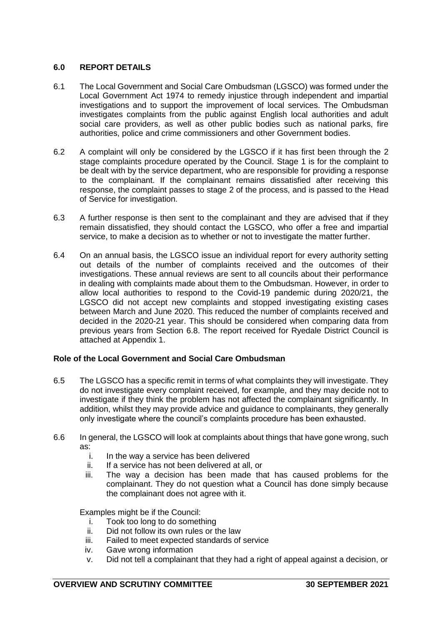# **6.0 REPORT DETAILS**

- 6.1 The Local Government and Social Care Ombudsman (LGSCO) was formed under the Local Government Act 1974 to remedy injustice through independent and impartial investigations and to support the improvement of local services. The Ombudsman investigates complaints from the public against English local authorities and adult social care providers, as well as other public bodies such as national parks, fire authorities, police and crime commissioners and other Government bodies.
- 6.2 A complaint will only be considered by the LGSCO if it has first been through the 2 stage complaints procedure operated by the Council. Stage 1 is for the complaint to be dealt with by the service department, who are responsible for providing a response to the complainant. If the complainant remains dissatisfied after receiving this response, the complaint passes to stage 2 of the process, and is passed to the Head of Service for investigation.
- 6.3 A further response is then sent to the complainant and they are advised that if they remain dissatisfied, they should contact the LGSCO, who offer a free and impartial service, to make a decision as to whether or not to investigate the matter further.
- 6.4 On an annual basis, the LGSCO issue an individual report for every authority setting out details of the number of complaints received and the outcomes of their investigations. These annual reviews are sent to all councils about their performance in dealing with complaints made about them to the Ombudsman. However, in order to allow local authorities to respond to the Covid-19 pandemic during 2020/21, the LGSCO did not accept new complaints and stopped investigating existing cases between March and June 2020. This reduced the number of complaints received and decided in the 2020-21 year. This should be considered when comparing data from previous years from Section 6.8. The report received for Ryedale District Council is attached at Appendix 1.

# **Role of the Local Government and Social Care Ombudsman**

- 6.5 The LGSCO has a specific remit in terms of what complaints they will investigate. They do not investigate every complaint received, for example, and they may decide not to investigate if they think the problem has not affected the complainant significantly. In addition, whilst they may provide advice and guidance to complainants, they generally only investigate where the council's complaints procedure has been exhausted.
- 6.6 In general, the LGSCO will look at complaints about things that have gone wrong, such as:
	- i. In the way a service has been delivered
	- ii. If a service has not been delivered at all, or
	- iii. The way a decision has been made that has caused problems for the complainant. They do not question what a Council has done simply because the complainant does not agree with it.

Examples might be if the Council:

- i. Took too long to do something
- ii. Did not follow its own rules or the law
- iii. Failed to meet expected standards of service
- iv. Gave wrong information
- v. Did not tell a complainant that they had a right of appeal against a decision, or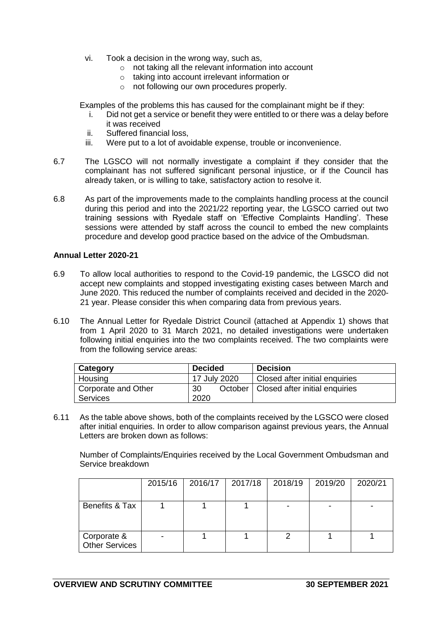- vi. Took a decision in the wrong way, such as,
	- o not taking all the relevant information into account
	- o taking into account irrelevant information or
	- o not following our own procedures properly.

Examples of the problems this has caused for the complainant might be if they:

- i. Did not get a service or benefit they were entitled to or there was a delay before it was received
- ii. Suffered financial loss,
- iii. Were put to a lot of avoidable expense, trouble or inconvenience.
- 6.7 The LGSCO will not normally investigate a complaint if they consider that the complainant has not suffered significant personal injustice, or if the Council has already taken, or is willing to take, satisfactory action to resolve it.
- 6.8 As part of the improvements made to the complaints handling process at the council during this period and into the 2021/22 reporting year, the LGSCO carried out two training sessions with Ryedale staff on 'Effective Complaints Handling'. These sessions were attended by staff across the council to embed the new complaints procedure and develop good practice based on the advice of the Ombudsman.

### **Annual Letter 2020-21**

- 6.9 To allow local authorities to respond to the Covid-19 pandemic, the LGSCO did not accept new complaints and stopped investigating existing cases between March and June 2020. This reduced the number of complaints received and decided in the 2020- 21 year. Please consider this when comparing data from previous years.
- 6.10 The Annual Letter for Ryedale District Council (attached at Appendix 1) shows that from 1 April 2020 to 31 March 2021, no detailed investigations were undertaken following initial enquiries into the two complaints received. The two complaints were from the following service areas:

| Category            | <b>Decided</b> | <b>Decision</b>                          |
|---------------------|----------------|------------------------------------------|
| Housing             | 17 July 2020   | Closed after initial enquiries           |
| Corporate and Other | -30            | October   Closed after initial enquiries |
| Services            | 2020           |                                          |

6.11 As the table above shows, both of the complaints received by the LGSCO were closed after initial enquiries. In order to allow comparison against previous years, the Annual Letters are broken down as follows:

Number of Complaints/Enquiries received by the Local Government Ombudsman and Service breakdown

|                                      | 2015/16 | 2016/17 | 2017/18 | 2018/19 | 2019/20 | 2020/21 |
|--------------------------------------|---------|---------|---------|---------|---------|---------|
| Benefits & Tax                       |         |         |         |         |         |         |
| Corporate &<br><b>Other Services</b> |         |         |         |         |         |         |